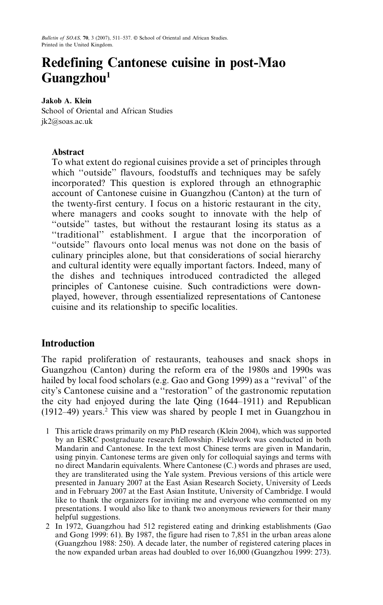# Redefining Cantonese cuisine in post-Mao Guangzhou<sup>1</sup>

Jakob A. Klein School of Oriental and African Studies ik2@soas.ac.uk

## Abstract

To what extent do regional cuisines provide a set of principles through which "outside" flavours, foodstuffs and techniques may be safely incorporated? This question is explored through an ethnographic account of Cantonese cuisine in Guangzhou (Canton) at the turn of the twenty-first century. I focus on a historic restaurant in the city, where managers and cooks sought to innovate with the help of "outside" tastes, but without the restaurant losing its status as a "traditional" establishment. I argue that the incorporation of "outside" flavours onto local menus was not done on the basis of culinary principles alone, but that considerations of social hierarchy and cultural identity were equally important factors. Indeed, many of the dishes and techniques introduced contradicted the alleged principles of Cantonese cuisine. Such contradictions were downplayed, however, through essentialized representations of Cantonese cuisine and its relationship to specific localities.

# **Introduction**

The rapid proliferation of restaurants, teahouses and snack shops in Guangzhou (Canton) during the reform era of the 1980s and 1990s was hailed by local food scholars (e.g. Gao and Gong 1999) as a "revival" of the city's Cantonese cuisine and a "restoration" of the gastronomic reputation the city had enjoyed during the late Qing (1644–1911) and Republican  $(1912-49)$  years.<sup>2</sup> This view was shared by people I met in Guangzhou in

- 1 This article draws primarily on my PhD research (Klein 2004), which was supported by an ESRC postgraduate research fellowship. Fieldwork was conducted in both Mandarin and Cantonese. In the text most Chinese terms are given in Mandarin, using pinyin. Cantonese terms are given only for colloquial sayings and terms with no direct Mandarin equivalents. Where Cantonese (C.) words and phrases are used, they are transliterated using the Yale system. Previous versions of this article were presented in January 2007 at the East Asian Research Society, University of Leeds and in February 2007 at the East Asian Institute, University of Cambridge. I would like to thank the organizers for inviting me and everyone who commented on my presentations. I would also like to thank two anonymous reviewers for their many helpful suggestions.
- 2 In 1972, Guangzhou had 512 registered eating and drinking establishments (Gao and Gong 1999: 61). By 1987, the figure had risen to 7,851 in the urban areas alone (Guangzhou 1988: 250). A decade later, the number of registered catering places in the now expanded urban areas had doubled to over 16,000 (Guangzhou 1999: 273).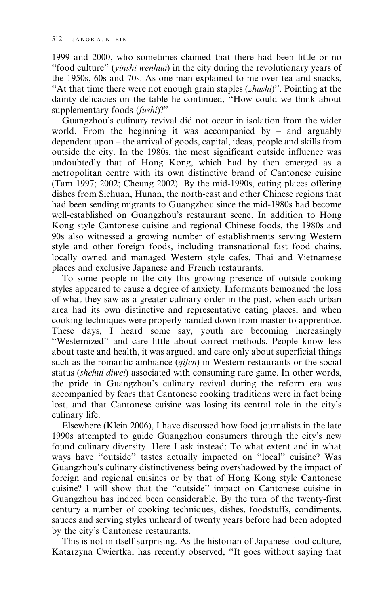1999 and 2000, who sometimes claimed that there had been little or no "food culture" (*yinshi wenhua*) in the city during the revolutionary years of the 1950s, 60s and 70s. As one man explained to me over tea and snacks, "At that time there were not enough grain staples *(zhushi)*". Pointing at the dainty delicacies on the table he continued, "How could we think about supplementary foods (fushi)?"

Guangzhou's culinary revival did not occur in isolation from the wider world. From the beginning it was accompanied by  $-$  and arguably dependent upon - the arrival of goods, capital, ideas, people and skills from outside the city. In the 1980s, the most significant outside influence was undoubtedly that of Hong Kong, which had by then emerged as a metropolitan centre with its own distinctive brand of Cantonese cuisine (Tam 1997; 2002; Cheung 2002). By the mid-1990s, eating places offering dishes from Sichuan, Hunan, the north-east and other Chinese regions that had been sending migrants to Guangzhou since the mid-1980s had become well-established on Guangzhou's restaurant scene. In addition to Hong Kong style Cantonese cuisine and regional Chinese foods, the 1980s and 90s also witnessed a growing number of establishments serving Western style and other foreign foods, including transnational fast food chains, locally owned and managed Western style cafes, Thai and Vietnamese places and exclusive Japanese and French restaurants.

To some people in the city this growing presence of outside cooking styles appeared to cause a degree of anxiety. Informants bemoaned the loss of what they saw as a greater culinary order in the past, when each urban area had its own distinctive and representative eating places, and when cooking techniques were properly handed down from master to apprentice. These days, I heard some say, youth are becoming increasingly "Westernized" and care little about correct methods. People know less about taste and health, it was argued, and care only about superficial things such as the romantic ambiance (*qifen*) in Western restaurants or the social status (shehui diwei) associated with consuming rare game. In other words, the pride in Guangzhou's culinary revival during the reform era was accompanied by fears that Cantonese cooking traditions were in fact being lost, and that Cantonese cuisine was losing its central role in the city's culinary life.

Elsewhere (Klein 2006), I have discussed how food journalists in the late 1990s attempted to guide Guangzhou consumers through the city's new found culinary diversity. Here I ask instead: To what extent and in what ways have "outside" tastes actually impacted on "local" cuisine? Was Guangzhou's culinary distinctiveness being overshadowed by the impact of foreign and regional cuisines or by that of Hong Kong style Cantonese cuisine? I will show that the "outside" impact on Cantonese cuisine in Guangzhou has indeed been considerable. By the turn of the twenty-first century a number of cooking techniques, dishes, foodstuffs, condiments, sauces and serving styles unheard of twenty years before had been adopted by the city's Cantonese restaurants.

This is not in itself surprising. As the historian of Japanese food culture, Katarzyna Cwiertka, has recently observed, "It goes without saying that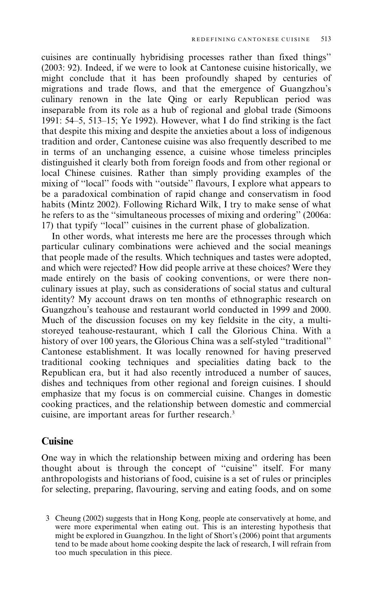cuisines are continually hybridising processes rather than fixed things" (2003: 92). Indeed, if we were to look at Cantonese cuisine historically, we might conclude that it has been profoundly shaped by centuries of migrations and trade flows, and that the emergence of Guangzhou's culinary renown in the late Qing or early Republican period was inseparable from its role as a hub of regional and global trade (Simoons 1991: 54–5, 513–15; Ye 1992). However, what I do find striking is the fact that despite this mixing and despite the anxieties about a loss of indigenous tradition and order, Cantonese cuisine was also frequently described to me in terms of an unchanging essence, a cuisine whose timeless principles distinguished it clearly both from foreign foods and from other regional or local Chinese cuisines. Rather than simply providing examples of the mixing of "local" foods with "outside" flavours, I explore what appears to be a paradoxical combination of rapid change and conservatism in food habits (Mintz 2002). Following Richard Wilk, I try to make sense of what he refers to as the "simultaneous processes of mixing and ordering" (2006a: 17) that typify "local" cuisines in the current phase of globalization.

In other words, what interests me here are the processes through which particular culinary combinations were achieved and the social meanings that people made of the results. Which techniques and tastes were adopted, and which were rejected? How did people arrive at these choices? Were they made entirely on the basis of cooking conventions, or were there nonculinary issues at play, such as considerations of social status and cultural identity? My account draws on ten months of ethnographic research on Guangzhou's teahouse and restaurant world conducted in 1999 and 2000. Much of the discussion focuses on my key fieldsite in the city, a multistoreyed teahouse-restaurant, which I call the Glorious China. With a history of over 100 years, the Glorious China was a self-styled "traditional" Cantonese establishment. It was locally renowned for having preserved traditional cooking techniques and specialities dating back to the Republican era, but it had also recently introduced a number of sauces, dishes and techniques from other regional and foreign cuisines. I should emphasize that my focus is on commercial cuisine. Changes in domestic cooking practices, and the relationship between domestic and commercial cuisine, are important areas for further research.<sup>3</sup>

## **Cuisine**

One way in which the relationship between mixing and ordering has been thought about is through the concept of "cuisine" itself. For many anthropologists and historians of food, cuisine is a set of rules or principles for selecting, preparing, flavouring, serving and eating foods, and on some

<sup>3</sup> Cheung (2002) suggests that in Hong Kong, people ate conservatively at home, and were more experimental when eating out. This is an interesting hypothesis that might be explored in Guangzhou. In the light of Short's (2006) point that arguments tend to be made about home cooking despite the lack of research, I will refrain from too much speculation in this piece.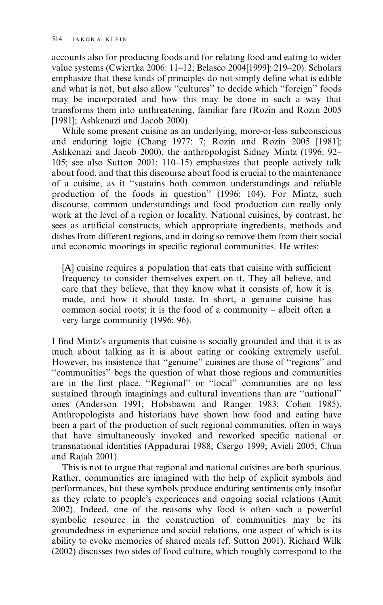accounts also for producing foods and for relating food and eating to wider value systems (Cwiertka 2006: 11-12; Belasco 2004[1999]: 219-20). Scholars emphasize that these kinds of principles do not simply define what is edible and what is not, but also allow "cultures" to decide which "foreign" foods may be incorporated and how this may be done in such a way that transforms them into unthreatening, familiar fare (Rozin and Rozin 2005) [1981]; Ashkenazi and Jacob 2000).

While some present cuisine as an underlying, more-or-less subconscious and enduring logic (Chang 1977: 7; Rozin and Rozin 2005 [1981]; Ashkenazi and Jacob 2000), the anthropologist Sidney Mintz (1996: 92– 105; see also Sutton 2001: 110-15) emphasizes that people actively talk about food, and that this discourse about food is crucial to the maintenance of a cuisine, as it "sustains both common understandings and reliable production of the foods in question" (1996: 104). For Mintz, such discourse, common understandings and food production can really only work at the level of a region or locality. National cuisines, by contrast, he sees as artificial constructs, which appropriate ingredients, methods and dishes from different regions, and in doing so remove them from their social and economic moorings in specific regional communities. He writes:

[A] cuisine requires a population that eats that cuisine with sufficient frequency to consider themselves expert on it. They all believe, and care that they believe, that they know what it consists of, how it is made, and how it should taste. In short, a genuine cuisine has common social roots; it is the food of a community  $-$  albeit often a very large community (1996: 96).

I find Mintz's arguments that cuisine is socially grounded and that it is as much about talking as it is about eating or cooking extremely useful. However, his insistence that "genuine" cuisines are those of "regions" and "communities" begs the question of what those regions and communities are in the first place. "Regional" or "local" communities are no less sustained through imaginings and cultural inventions than are "national" ones (Anderson 1991; Hobsbawm and Ranger 1983; Cohen 1985). Anthropologists and historians have shown how food and eating have been a part of the production of such regional communities, often in ways that have simultaneously invoked and reworked specific national or transnational identities (Appadurai 1988; Csergo 1999; Avieli 2005; Chua and Rajah 2001).

This is not to argue that regional and national cuisines are both spurious. Rather, communities are imagined with the help of explicit symbols and performances, but these symbols produce enduring sentiments only insofar as they relate to people's experiences and ongoing social relations (Amit 2002). Indeed, one of the reasons why food is often such a powerful symbolic resource in the construction of communities may be its groundedness in experience and social relations, one aspect of which is its ability to evoke memories of shared meals (cf. Sutton 2001). Richard Wilk (2002) discusses two sides of food culture, which roughly correspond to the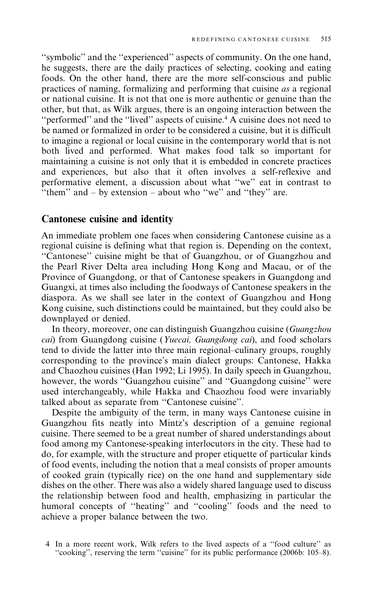"symbolic" and the "experienced" aspects of community. On the one hand, he suggests, there are the daily practices of selecting, cooking and eating foods. On the other hand, there are the more self-conscious and public practices of naming, formalizing and performing that cuisine as a regional or national cuisine. It is not that one is more authentic or genuine than the other, but that, as Wilk argues, there is an ongoing interaction between the "performed" and the "lived" aspects of cuisine.<sup>4</sup> A cuisine does not need to be named or formalized in order to be considered a cuisine, but it is difficult to imagine a regional or local cuisine in the contemporary world that is not both lived and performed. What makes food talk so important for maintaining a cuisine is not only that it is embedded in concrete practices and experiences, but also that it often involves a self-reflexive and performative element, a discussion about what "we" eat in contrast to "them" and  $-$  by extension  $-$  about who "we" and "they" are.

#### **Cantonese cuisine and identity**

An immediate problem one faces when considering Cantonese cuisine as a regional cuisine is defining what that region is. Depending on the context, "Cantonese" cuisine might be that of Guangzhou, or of Guangzhou and the Pearl River Delta area including Hong Kong and Macau, or of the Province of Guangdong, or that of Cantonese speakers in Guangdong and Guangxi, at times also including the foodways of Cantonese speakers in the diaspora. As we shall see later in the context of Guangzhou and Hong Kong cuisine, such distinctions could be maintained, but they could also be downplayed or denied.

In theory, moreover, one can distinguish Guangzhou cuisine (Guangzhou cai) from Guangdong cuisine (Yuecai, Guangdong cai), and food scholars tend to divide the latter into three main regional-culinary groups, roughly corresponding to the province's main dialect groups: Cantonese, Hakka and Chaozhou cuisines (Han 1992; Li 1995). In daily speech in Guangzhou, however, the words "Guangzhou cuisine" and "Guangdong cuisine" were used interchangeably, while Hakka and Chaozhou food were invariably talked about as separate from "Cantonese cuisine".

Despite the ambiguity of the term, in many ways Cantonese cuisine in Guangzhou fits neatly into Mintz's description of a genuine regional cuisine. There seemed to be a great number of shared understandings about food among my Cantonese-speaking interlocutors in the city. These had to do, for example, with the structure and proper etiquette of particular kinds of food events, including the notion that a meal consists of proper amounts of cooked grain (typically rice) on the one hand and supplementary side dishes on the other. There was also a widely shared language used to discuss the relationship between food and health, emphasizing in particular the humoral concepts of "heating" and "cooling" foods and the need to achieve a proper balance between the two.

<sup>4</sup> In a more recent work, Wilk refers to the lived aspects of a "food culture" as "cooking", reserving the term "cuisine" for its public performance (2006b: 105–8).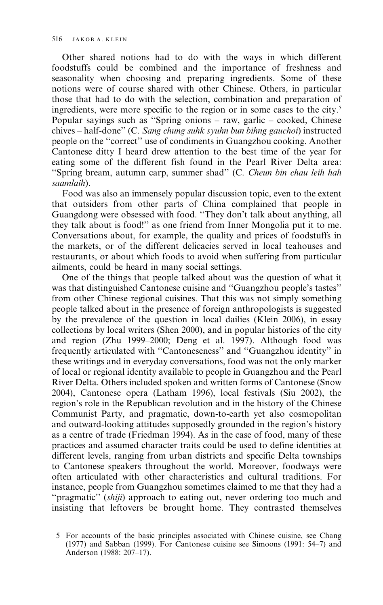Other shared notions had to do with the ways in which different foodstuffs could be combined and the importance of freshness and seasonality when choosing and preparing ingredients. Some of these notions were of course shared with other Chinese. Others, in particular those that had to do with the selection, combination and preparation of ingredients, were more specific to the region or in some cases to the city.<sup>5</sup> Popular sayings such as "Spring onions - raw, garlic - cooked, Chinese chives – half-done" (C. Sang chung suhk svuhn bun bihng gauchoi) instructed people on the "correct" use of condiments in Guangzhou cooking. Another Cantonese ditty I heard drew attention to the best time of the year for eating some of the different fish found in the Pearl River Delta area: "Spring bream, autumn carp, summer shad" (C. Cheun bin chau leih hah saamlaih).

Food was also an immensely popular discussion topic, even to the extent that outsiders from other parts of China complained that people in Guangdong were obsessed with food. "They don't talk about anything, all they talk about is food!" as one friend from Inner Mongolia put it to me. Conversations about, for example, the quality and prices of foodstuffs in the markets, or of the different delicacies served in local teahouses and restaurants, or about which foods to avoid when suffering from particular ailments, could be heard in many social settings.

One of the things that people talked about was the question of what it was that distinguished Cantonese cuisine and "Guangzhou people's tastes" from other Chinese regional cuisines. That this was not simply something people talked about in the presence of foreign anthropologists is suggested by the prevalence of the question in local dailies (Klein 2006), in essay collections by local writers (Shen 2000), and in popular histories of the city and region (Zhu 1999–2000; Deng et al. 1997). Although food was frequently articulated with "Cantoneseness" and "Guangzhou identity" in these writings and in everyday conversations, food was not the only marker of local or regional identity available to people in Guangzhou and the Pearl River Delta. Others included spoken and written forms of Cantonese (Snow 2004), Cantonese opera (Latham 1996), local festivals (Siu 2002), the region's role in the Republican revolution and in the history of the Chinese Communist Party, and pragmatic, down-to-earth yet also cosmopolitan and outward-looking attitudes supposedly grounded in the region's history as a centre of trade (Friedman 1994). As in the case of food, many of these practices and assumed character traits could be used to define identities at different levels, ranging from urban districts and specific Delta townships to Cantonese speakers throughout the world. Moreover, foodways were often articulated with other characteristics and cultural traditions. For instance, people from Guangzhou sometimes claimed to me that they had a "pragmatic" *(shiji)* approach to eating out, never ordering too much and insisting that leftovers be brought home. They contrasted themselves

<sup>5</sup> For accounts of the basic principles associated with Chinese cuisine, see Chang (1977) and Sabban (1999). For Cantonese cuisine see Simoons (1991: 54–7) and Anderson (1988: 207-17).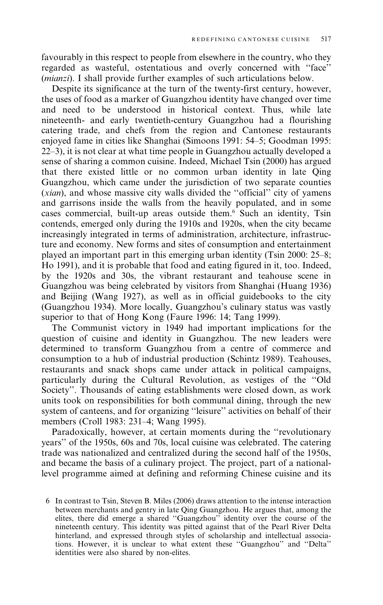favourably in this respect to people from elsewhere in the country, who they regarded as wasteful, ostentatious and overly concerned with "face" *(mianzi)*. I shall provide further examples of such articulations below.

Despite its significance at the turn of the twenty-first century, however, the uses of food as a marker of Guangzhou identity have changed over time and need to be understood in historical context. Thus, while late nineteenth- and early twentieth-century Guangzhou had a flourishing catering trade, and chefs from the region and Cantonese restaurants enjoyed fame in cities like Shanghai (Simoons 1991: 54–5; Goodman 1995:  $22-3$ ), it is not clear at what time people in Guangzhou actually developed a sense of sharing a common cuisine. Indeed, Michael Tsin (2000) has argued that there existed little or no common urban identity in late Qing Guangzhou, which came under the jurisdiction of two separate counties (xian), and whose massive city walls divided the "official" city of yamens and garrisons inside the walls from the heavily populated, and in some cases commercial, built-up areas outside them.<sup>6</sup> Such an identity, Tsin contends, emerged only during the 1910s and 1920s, when the city became increasingly integrated in terms of administration, architecture, infrastructure and economy. New forms and sites of consumption and entertainment played an important part in this emerging urban identity (Tsin 2000: 25–8; Ho 1991), and it is probable that food and eating figured in it, too. Indeed, by the 1920s and 30s, the vibrant restaurant and teahouse scene in Guangzhou was being celebrated by visitors from Shanghai (Huang 1936) and Beijing (Wang 1927), as well as in official guidebooks to the city (Guangzhou 1934). More locally, Guangzhou's culinary status was vastly superior to that of Hong Kong (Faure 1996: 14; Tang 1999).

The Communist victory in 1949 had important implications for the question of cuisine and identity in Guangzhou. The new leaders were determined to transform Guangzhou from a centre of commerce and consumption to a hub of industrial production (Schintz 1989). Teahouses, restaurants and snack shops came under attack in political campaigns, particularly during the Cultural Revolution, as vestiges of the "Old Society". Thousands of eating establishments were closed down, as work units took on responsibilities for both communal dining, through the new system of canteens, and for organizing "leisure" activities on behalf of their members (Croll 1983: 231–4; Wang 1995).

Paradoxically, however, at certain moments during the "revolutionary years" of the 1950s, 60s and 70s, local cuisine was celebrated. The catering trade was nationalized and centralized during the second half of the 1950s, and became the basis of a culinary project. The project, part of a nationallevel programme aimed at defining and reforming Chinese cuisine and its

<sup>6</sup> In contrast to Tsin, Steven B. Miles (2006) draws attention to the intense interaction between merchants and gentry in late Qing Guangzhou. He argues that, among the elites, there did emerge a shared "Guangzhou" identity over the course of the nineteenth century. This identity was pitted against that of the Pearl River Delta hinterland, and expressed through styles of scholarship and intellectual associations. However, it is unclear to what extent these "Guangzhou" and "Delta" identities were also shared by non-elites.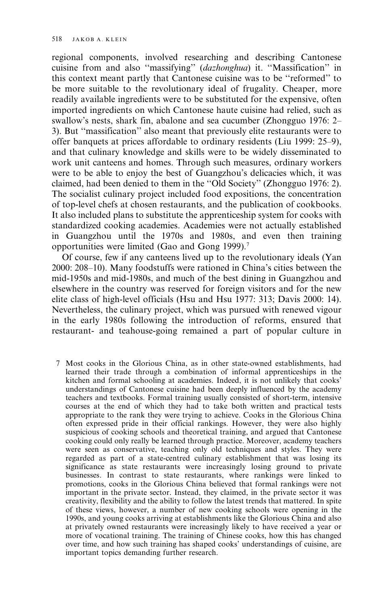regional components, involved researching and describing Cantonese cuisine from and also "massifying" (dazhonghua) it. "Massification" in this context meant partly that Cantonese cuisine was to be "reformed" to be more suitable to the revolutionary ideal of frugality. Cheaper, more readily available ingredients were to be substituted for the expensive, often imported ingredients on which Cantonese haute cuisine had relied, such as swallow's nests, shark fin, abalone and sea cucumber (Zhongguo 1976: 2– 3). But "massification" also meant that previously elite restaurants were to offer banquets at prices affordable to ordinary residents (Liu 1999: 25–9), and that culinary knowledge and skills were to be widely disseminated to work unit canteens and homes. Through such measures, ordinary workers were to be able to enjoy the best of Guangzhou's delicacies which, it was claimed, had been denied to them in the "Old Society" (Zhongguo 1976: 2). The socialist culinary project included food expositions, the concentration of top-level chefs at chosen restaurants, and the publication of cookbooks. It also included plans to substitute the apprenticeship system for cooks with standardized cooking academies. Academies were not actually established in Guangzhou until the 1970s and 1980s, and even then training opportunities were limited (Gao and Gong 1999).<sup>7</sup>

Of course, few if any canteens lived up to the revolutionary ideals (Yan 2000: 208–10). Many foodstuffs were rationed in China's cities between the mid-1950s and mid-1980s, and much of the best dining in Guangzhou and elsewhere in the country was reserved for foreign visitors and for the new elite class of high-level officials (Hsu and Hsu 1977: 313; Davis 2000: 14). Nevertheless, the culinary project, which was pursued with renewed vigour in the early 1980s following the introduction of reforms, ensured that restaurant- and teahouse-going remained a part of popular culture in

7 Most cooks in the Glorious China, as in other state-owned establishments, had learned their trade through a combination of informal apprenticeships in the kitchen and formal schooling at academies. Indeed, it is not unlikely that cooks' understandings of Cantonese cuisine had been deeply influenced by the academy teachers and textbooks. Formal training usually consisted of short-term, intensive courses at the end of which they had to take both written and practical tests appropriate to the rank they were trying to achieve. Cooks in the Glorious China often expressed pride in their official rankings. However, they were also highly suspicious of cooking schools and theoretical training, and argued that Cantonese cooking could only really be learned through practice. Moreover, academy teachers were seen as conservative, teaching only old techniques and styles. They were regarded as part of a state-centred culinary establishment that was losing its significance as state restaurants were increasingly losing ground to private businesses. In contrast to state restaurants, where rankings were linked to promotions, cooks in the Glorious China believed that formal rankings were not important in the private sector. Instead, they claimed, in the private sector it was creativity, flexibility and the ability to follow the latest trends that mattered. In spite of these views, however, a number of new cooking schools were opening in the 1990s, and young cooks arriving at establishments like the Glorious China and also at privately owned restaurants were increasingly likely to have received a year or more of vocational training. The training of Chinese cooks, how this has changed over time, and how such training has shaped cooks' understandings of cuisine, are important topics demanding further research.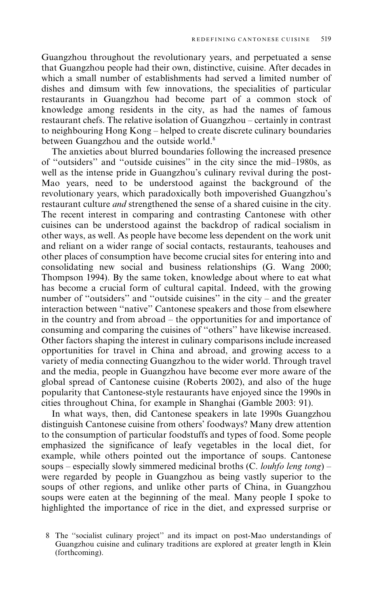Guangzhou throughout the revolutionary years, and perpetuated a sense that Guangzhou people had their own, distinctive, cuisine. After decades in which a small number of establishments had served a limited number of dishes and dimsum with few innovations, the specialities of particular restaurants in Guangzhou had become part of a common stock of knowledge among residents in the city, as had the names of famous restaurant chefs. The relative isolation of Guangzhou – certainly in contrast to neighbouring Hong Kong – helped to create discrete culinary boundaries between Guangzhou and the outside world.<sup>8</sup>

The anxieties about blurred boundaries following the increased presence of "outsiders" and "outside cuisines" in the city since the mid-1980s, as well as the intense pride in Guangzhou's culinary revival during the post-Mao years, need to be understood against the background of the revolutionary years, which paradoxically both impoverished Guangzhou's restaurant culture *and* strengthened the sense of a shared cuisine in the city. The recent interest in comparing and contrasting Cantonese with other cuisines can be understood against the backdrop of radical socialism in other ways, as well. As people have become less dependent on the work unit and reliant on a wider range of social contacts, restaurants, teahouses and other places of consumption have become crucial sites for entering into and consolidating new social and business relationships (G. Wang 2000; Thompson 1994). By the same token, knowledge about where to eat what has become a crucial form of cultural capital. Indeed, with the growing number of "outsiders" and "outside cuisines" in the city – and the greater interaction between "native" Cantonese speakers and those from elsewhere in the country and from abroad – the opportunities for and importance of consuming and comparing the cuisines of "others" have likewise increased. Other factors shaping the interest in culinary comparisons include increased opportunities for travel in China and abroad, and growing access to a variety of media connecting Guangzhou to the wider world. Through travel and the media, people in Guangzhou have become ever more aware of the global spread of Cantonese cuisine (Roberts 2002), and also of the huge popularity that Cantonese-style restaurants have enjoyed since the 1990s in cities throughout China, for example in Shanghai (Gamble 2003: 91).

In what ways, then, did Cantonese speakers in late 1990s Guangzhou distinguish Cantonese cuisine from others' foodways? Many drew attention to the consumption of particular foodstuffs and types of food. Some people emphasized the significance of leafy vegetables in the local diet, for example, while others pointed out the importance of soups. Cantonese soups – especially slowly simmered medicinal broths (C. *louhfo leng tong*) – were regarded by people in Guangzhou as being vastly superior to the soups of other regions, and unlike other parts of China, in Guangzhou soups were eaten at the beginning of the meal. Many people I spoke to highlighted the importance of rice in the diet, and expressed surprise or

<sup>8</sup> The "socialist culinary project" and its impact on post-Mao understandings of Guangzhou cuisine and culinary traditions are explored at greater length in Klein (forthcoming).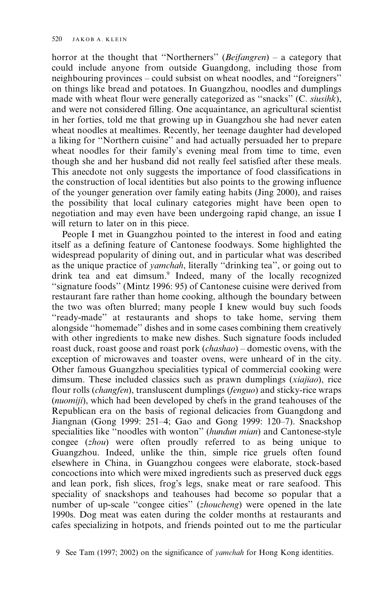horror at the thought that "Northerners" (Beifangren) – a category that could include anyone from outside Guangdong, including those from neighbouring provinces – could subsist on wheat noodles, and "foreigners" on things like bread and potatoes. In Guangzhou, noodles and dumplings made with wheat flour were generally categorized as "snacks" (C. siusihk). and were not considered filling. One acquaintance, an agricultural scientist in her forties, told me that growing up in Guangzhou she had never eaten wheat noodles at mealtimes. Recently, her teenage daughter had developed a liking for "Northern cuisine" and had actually persuaded her to prepare wheat noodles for their family's evening meal from time to time, even though she and her husband did not really feel satisfied after these meals. This anecdote not only suggests the importance of food classifications in the construction of local identities but also points to the growing influence of the younger generation over family eating habits (Jing 2000), and raises the possibility that local culinary categories might have been open to negotiation and may even have been undergoing rapid change, an issue I will return to later on in this piece.

People I met in Guangzhou pointed to the interest in food and eating itself as a defining feature of Cantonese foodways. Some highlighted the widespread popularity of dining out, and in particular what was described as the unique practice of *yamchah*, literally "drinking tea", or going out to drink tea and eat dimsum.<sup>9</sup> Indeed, many of the locally recognized "signature foods" (Mintz 1996: 95) of Cantonese cuisine were derived from restaurant fare rather than home cooking, although the boundary between the two was often blurred; many people I knew would buy such foods "ready-made" at restaurants and shops to take home, serving them alongside "homemade" dishes and in some cases combining them creatively with other ingredients to make new dishes. Such signature foods included roast duck, roast goose and roast pork (chashao) – domestic ovens, with the exception of microwaves and toaster ovens, were unheard of in the city. Other famous Guangzhou specialities typical of commercial cooking were dimsum. These included classics such as prawn dumplings (xiajiao), rice flour rolls (changfen), transluscent dumplings (fenguo) and sticky-rice wraps (nuomiji), which had been developed by chefs in the grand teahouses of the Republican era on the basis of regional delicacies from Guangdong and Jiangnan (Gong 1999: 251-4; Gao and Gong 1999: 120-7). Snackshop specialities like "noodles with wonton" (hundun mian) and Cantonese-style congee (*zhou*) were often proudly referred to as being unique to Guangzhou. Indeed, unlike the thin, simple rice gruels often found elsewhere in China, in Guangzhou congees were elaborate, stock-based concoctions into which were mixed ingredients such as preserved duck eggs and lean pork, fish slices, frog's legs, snake meat or rare seafood. This speciality of snackshops and teahouses had become so popular that a number of up-scale "congee cities" (zhoucheng) were opened in the late 1990s. Dog meat was eaten during the colder months at restaurants and cafes specializing in hotpots, and friends pointed out to me the particular

<sup>9</sup> See Tam (1997; 2002) on the significance of *yamchah* for Hong Kong identities.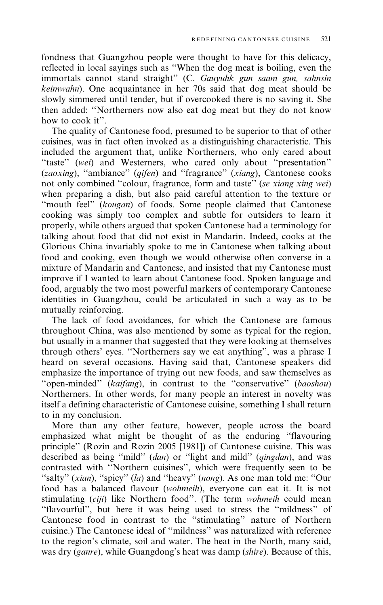fondness that Guangzhou people were thought to have for this delicacy, reflected in local sayings such as "When the dog meat is boiling, even the immortals cannot stand straight" (C. Gauyuhk gun saam gun, sahnsin keimwahn). One acquaintance in her 70s said that dog meat should be slowly simmered until tender, but if overcooked there is no saving it. She then added: "Northerners now also eat dog meat but they do not know how to cook it".

The quality of Cantonese food, presumed to be superior to that of other cuisines, was in fact often invoked as a distinguishing characteristic. This included the argument that, unlike Northerners, who only cared about "taste" (wei) and Westerners, who cared only about "presentation" (zaoxing), "ambiance" (qifen) and "fragrance" (xiang), Cantonese cooks not only combined "colour, fragrance, form and taste" (se xiang xing wei) when preparing a dish, but also paid careful attention to the texture or "mouth feel" (kougan) of foods. Some people claimed that Cantonese cooking was simply too complex and subtle for outsiders to learn it properly, while others argued that spoken Cantonese had a terminology for talking about food that did not exist in Mandarin. Indeed, cooks at the Glorious China invariably spoke to me in Cantonese when talking about food and cooking, even though we would otherwise often converse in a mixture of Mandarin and Cantonese, and insisted that my Cantonese must improve if I wanted to learn about Cantonese food. Spoken language and food, arguably the two most powerful markers of contemporary Cantonese identities in Guangzhou, could be articulated in such a way as to be mutually reinforcing.

The lack of food avoidances, for which the Cantonese are famous throughout China, was also mentioned by some as typical for the region, but usually in a manner that suggested that they were looking at themselves through others' eyes. "Northerners say we eat anything", was a phrase I heard on several occasions. Having said that, Cantonese speakers did emphasize the importance of trying out new foods, and saw themselves as "open-minded" (kaifang), in contrast to the "conservative" (baoshou) Northerners. In other words, for many people an interest in novelty was itself a defining characteristic of Cantonese cuisine, something I shall return to in my conclusion.

More than any other feature, however, people across the board emphasized what might be thought of as the enduring "flavouring principle" (Rozin and Rozin 2005 [1981]) of Cantonese cuisine. This was described as being "mild" (dan) or "light and mild" (qingdan), and was contrasted with "Northern cuisines", which were frequently seen to be "salty" (xian), "spicy" (la) and "heavy" (nong). As one man told me: "Our food has a balanced flavour (wohmeih), everyone can eat it. It is not stimulating (ciji) like Northern food". (The term wohmeih could mean "flavourful", but here it was being used to stress the "mildness" of Cantonese food in contrast to the "stimulating" nature of Northern cuisine.) The Cantonese ideal of "mildness" was naturalized with reference to the region's climate, soil and water. The heat in the North, many said, was dry (ganre), while Guangdong's heat was damp (shire). Because of this,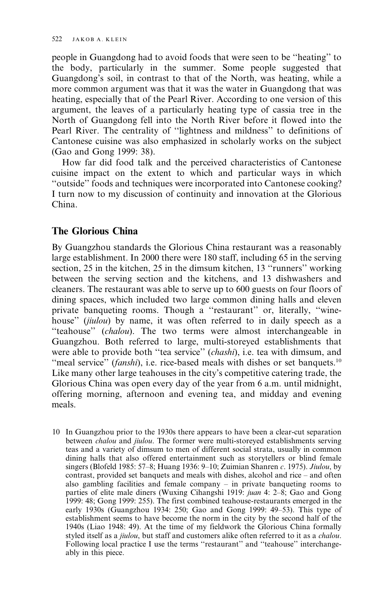people in Guangdong had to avoid foods that were seen to be "heating" to the body, particularly in the summer. Some people suggested that Guangdong's soil, in contrast to that of the North, was heating, while a more common argument was that it was the water in Guangdong that was heating, especially that of the Pearl River. According to one version of this argument, the leaves of a particularly heating type of cassia tree in the North of Guangdong fell into the North River before it flowed into the Pearl River. The centrality of "lightness and mildness" to definitions of Cantonese cuisine was also emphasized in scholarly works on the subject (Gao and Gong 1999: 38).

How far did food talk and the perceived characteristics of Cantonese cuisine impact on the extent to which and particular ways in which "outside" foods and techniques were incorporated into Cantonese cooking? I turn now to my discussion of continuity and innovation at the Glorious China

# **The Glorious China**

By Guangzhou standards the Glorious China restaurant was a reasonably large establishment. In 2000 there were 180 staff, including 65 in the serving section, 25 in the kitchen, 25 in the dimsum kitchen, 13 "runners" working between the serving section and the kitchens, and 13 dishwashers and cleaners. The restaurant was able to serve up to 600 guests on four floors of dining spaces, which included two large common dining halls and eleven private banqueting rooms. Though a "restaurant" or, literally, "winehouse" (jiulou) by name, it was often referred to in daily speech as a "teahouse" (chalou). The two terms were almost interchangeable in Guangzhou. Both referred to large, multi-storeved establishments that were able to provide both "tea service" (chashi), i.e. tea with dimsum, and "meal service" (*fanshi*), i.e. rice-based meals with dishes or set banquets.<sup>10</sup> Like many other large teahouses in the city's competitive catering trade, the Glorious China was open every day of the year from 6 a.m. until midnight, offering morning, afternoon and evening tea, and midday and evening meals

10 In Guangzhou prior to the 1930s there appears to have been a clear-cut separation between *chalou* and *jiulou*. The former were multi-storeyed establishments serving teas and a variety of dimsum to men of different social strata, usually in common dining halls that also offered entertainment such as storytellers or blind female singers (Blofeld 1985: 57–8; Huang 1936: 9–10; Zuimian Shanren c. 1975). Jiulou, by contrast, provided set banquets and meals with dishes, alcohol and rice – and often also gambling facilities and female company - in private banqueting rooms to parties of elite male diners (Wuxing Cihangshi 1919: juan 4: 2-8; Gao and Gong 1999: 48; Gong 1999: 255). The first combined teahouse-restaurants emerged in the early 1930s (Guangzhou 1934: 250; Gao and Gong 1999: 49–53). This type of establishment seems to have become the norm in the city by the second half of the 1940s (Liao 1948: 49). At the time of my fieldwork the Glorious China formally styled itself as a jiulou, but staff and customers alike often referred to it as a chalou. Following local practice I use the terms "restaurant" and "teahouse" interchangeably in this piece.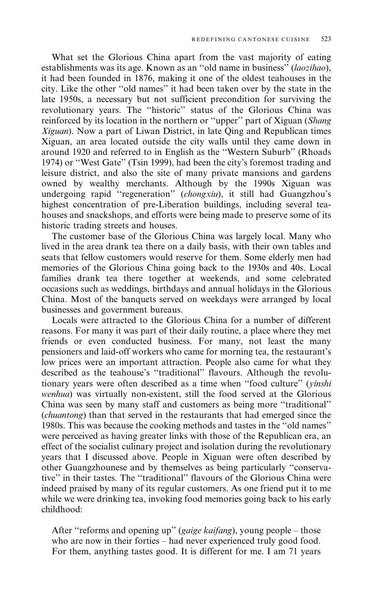What set the Glorious China apart from the vast majority of eating establishments was its age. Known as an "old name in business" (laozihao), it had been founded in 1876, making it one of the oldest teahouses in the city. Like the other "old names" it had been taken over by the state in the late 1950s, a necessary but not sufficient precondition for surviving the revolutionary years. The "historic" status of the Glorious China was reinforced by its location in the northern or "upper" part of Xiguan (Shang Xiguan). Now a part of Liwan District, in late Qing and Republican times Xiguan, an area located outside the city walls until they came down in around 1920 and referred to in English as the "Western Suburb" (Rhoads 1974) or "West Gate" (Tsin 1999), had been the city's foremost trading and leisure district, and also the site of many private mansions and gardens owned by wealthy merchants. Although by the 1990s Xiguan was undergoing rapid "regeneration" (chongxiu), it still had Guangzhou's highest concentration of pre-Liberation buildings, including several teahouses and snackshops, and efforts were being made to preserve some of its historic trading streets and houses.

The customer base of the Glorious China was largely local. Many who lived in the area drank tea there on a daily basis, with their own tables and seats that fellow customers would reserve for them. Some elderly men had memories of the Glorious China going back to the 1930s and 40s. Local families drank tea there together at weekends, and some celebrated occasions such as weddings, birthdays and annual holidays in the Glorious China. Most of the banquets served on weekdays were arranged by local businesses and government bureaus.

Locals were attracted to the Glorious China for a number of different reasons. For many it was part of their daily routine, a place where they met friends or even conducted business. For many, not least the many pensioners and laid-off workers who came for morning tea, the restaurant's low prices were an important attraction. People also came for what they described as the teahouse's "traditional" flavours. Although the revolutionary years were often described as a time when "food culture" (yinshi wenhua) was virtually non-existent, still the food served at the Glorious China was seen by many staff and customers as being more "traditional" (*chuantong*) than that served in the restaurants that had emerged since the 1980s. This was because the cooking methods and tastes in the "old names" were perceived as having greater links with those of the Republican era, an effect of the socialist culinary project and isolation during the revolutionary years that I discussed above. People in Xiguan were often described by other Guangzhounese and by themselves as being particularly "conservative" in their tastes. The "traditional" flavours of the Glorious China were indeed praised by many of its regular customers. As one friend put it to me while we were drinking tea, invoking food memories going back to his early childhood:

After "reforms and opening up" (gaige kaifang), young people - those who are now in their forties - had never experienced truly good food. For them, anything tastes good. It is different for me. I am 71 years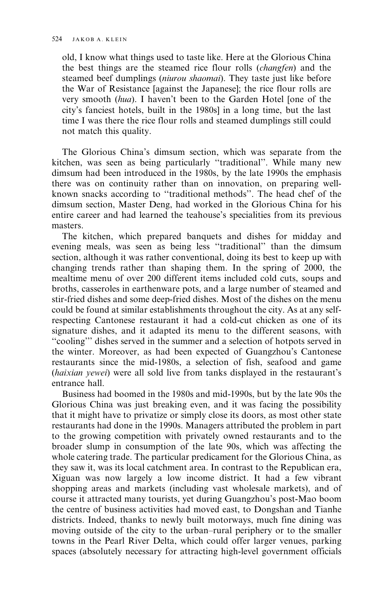old. I know what things used to taste like. Here at the Glorious China the best things are the steamed rice flour rolls (changfen) and the steamed beef dumplings (niurou shaomai). They taste just like before the War of Resistance [against the Japanese]; the rice flour rolls are very smooth (hua). I haven't been to the Garden Hotel [one of the city's fanciest hotels, built in the 1980s] in a long time, but the last time I was there the rice flour rolls and steamed dumplings still could not match this quality.

The Glorious China's dimsum section, which was separate from the kitchen, was seen as being particularly "traditional". While many new dimsum had been introduced in the 1980s, by the late 1990s the emphasis there was on continuity rather than on innovation, on preparing wellknown snacks according to "traditional methods". The head chef of the dimsum section, Master Deng, had worked in the Glorious China for his entire career and had learned the teahouse's specialities from its previous masters.

The kitchen, which prepared banquets and dishes for midday and evening meals, was seen as being less "traditional" than the dimsum section, although it was rather conventional, doing its best to keep up with changing trends rather than shaping them. In the spring of 2000, the mealtime menu of over 200 different items included cold cuts, soups and broths, casseroles in earthenware pots, and a large number of steamed and stir-fried dishes and some deep-fried dishes. Most of the dishes on the menu could be found at similar establishments throughout the city. As at any selfrespecting Cantonese restaurant it had a cold-cut chicken as one of its signature dishes, and it adapted its menu to the different seasons, with "cooling" dishes served in the summer and a selection of hotpots served in the winter. Moreover, as had been expected of Guangzhou's Cantonese restaurants since the mid-1980s, a selection of fish, seafood and game (haixian yewei) were all sold live from tanks displayed in the restaurant's entrance hall.

Business had boomed in the 1980s and mid-1990s, but by the late 90s the Glorious China was just breaking even, and it was facing the possibility that it might have to privatize or simply close its doors, as most other state restaurants had done in the 1990s. Managers attributed the problem in part to the growing competition with privately owned restaurants and to the broader slump in consumption of the late 90s, which was affecting the whole catering trade. The particular predicament for the Glorious China, as they saw it, was its local catchment area. In contrast to the Republican era, Xiguan was now largely a low income district. It had a few vibrant shopping areas and markets (including vast wholesale markets), and of course it attracted many tourists, yet during Guangzhou's post-Mao boom the centre of business activities had moved east, to Dongshan and Tianhe districts. Indeed, thanks to newly built motorways, much fine dining was moving outside of the city to the urban-rural periphery or to the smaller towns in the Pearl River Delta, which could offer larger venues, parking spaces (absolutely necessary for attracting high-level government officials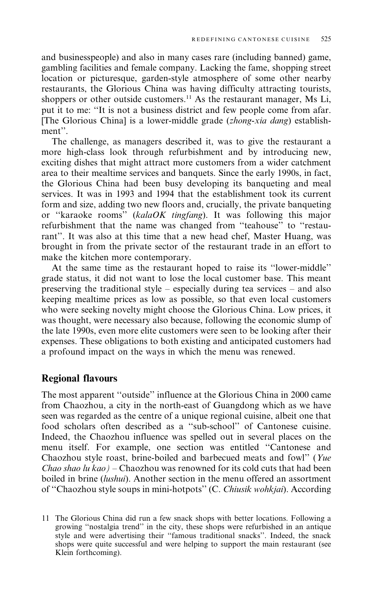and businesspeople) and also in many cases rare (including banned) game, gambling facilities and female company. Lacking the fame, shopping street location or picturesque, garden-style atmosphere of some other nearby restaurants, the Glorious China was having difficulty attracting tourists, shoppers or other outside customers.<sup>11</sup> As the restaurant manager, Ms Li, put it to me: "It is not a business district and few people come from afar. [The Glorious China] is a lower-middle grade (*zhong-xia dang*) establishment".

The challenge, as managers described it, was to give the restaurant a more high-class look through refurbishment and by introducing new, exciting dishes that might attract more customers from a wider catchment area to their mealtime services and banquets. Since the early 1990s, in fact, the Glorious China had been busy developing its banqueting and meal services. It was in 1993 and 1994 that the establishment took its current form and size, adding two new floors and, crucially, the private banqueting or "karaoke rooms" (kalaOK tingfang). It was following this major refurbishment that the name was changed from "teahouse" to "restaurant". It was also at this time that a new head chef, Master Huang, was brought in from the private sector of the restaurant trade in an effort to make the kitchen more contemporary.

At the same time as the restaurant hoped to raise its "lower-middle" grade status, it did not want to lose the local customer base. This meant preserving the traditional style – especially during tea services – and also keeping mealtime prices as low as possible, so that even local customers who were seeking novelty might choose the Glorious China. Low prices, it was thought, were necessary also because, following the economic slump of the late 1990s, even more elite customers were seen to be looking after their expenses. These obligations to both existing and anticipated customers had a profound impact on the ways in which the menu was renewed.

#### **Regional flavours**

The most apparent "outside" influence at the Glorious China in 2000 came from Chaozhou, a city in the north-east of Guangdong which as we have seen was regarded as the centre of a unique regional cuisine, albeit one that food scholars often described as a "sub-school" of Cantonese cuisine. Indeed, the Chaozhou influence was spelled out in several places on the menu itself. For example, one section was entitled "Cantonese and Chaozhou style roast, brine-boiled and barbecued meats and fowl" (Yue *Chao shao lu kao*) – Chaozhou was renowned for its cold cuts that had been boiled in brine (lushui). Another section in the menu offered an assortment of "Chaozhou style soups in mini-hotpots" (C. Chiusik wohkjai). According

<sup>11</sup> The Glorious China did run a few snack shops with better locations. Following a growing "nostalgia trend" in the city, these shops were refurbished in an antique style and were advertising their "famous traditional snacks". Indeed, the snack shops were quite successful and were helping to support the main restaurant (see Klein forthcoming).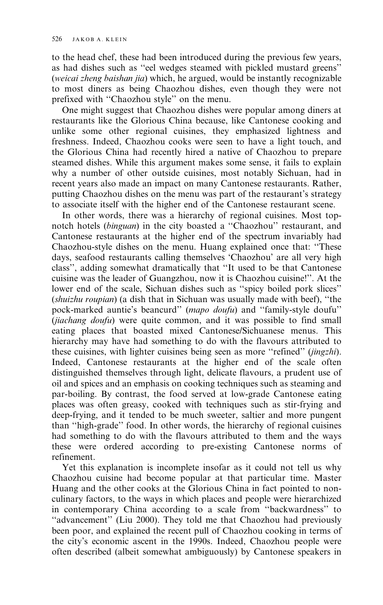to the head chef, these had been introduced during the previous few vears. as had dishes such as "eel wedges steamed with pickled mustard greens" (weicai zheng baishan jia) which, he argued, would be instantly recognizable to most diners as being Chaozhou dishes, even though they were not prefixed with "Chaozhou style" on the menu.

One might suggest that Chaozhou dishes were popular among diners at restaurants like the Glorious China because, like Cantonese cooking and unlike some other regional cuisines, they emphasized lightness and freshness. Indeed, Chaozhou cooks were seen to have a light touch, and the Glorious China had recently hired a native of Chaozhou to prepare steamed dishes. While this argument makes some sense, it fails to explain why a number of other outside cuisines, most notably Sichuan, had in recent years also made an impact on many Cantonese restaurants. Rather, putting Chaozhou dishes on the menu was part of the restaurant's strategy to associate itself with the higher end of the Cantonese restaurant scene.

In other words, there was a hierarchy of regional cuisines. Most topnotch hotels (binguan) in the city boasted a "Chaozhou" restaurant, and Cantonese restaurants at the higher end of the spectrum invariably had Chaozhou-style dishes on the menu. Huang explained once that: "These days, seafood restaurants calling themselves 'Chaozhou' are all very high class", adding somewhat dramatically that "It used to be that Cantonese cuisine was the leader of Guangzhou, now it is Chaozhou cuisine!". At the lower end of the scale, Sichuan dishes such as "spicy boiled pork slices" (shuizhu roupian) (a dish that in Sichuan was usually made with beef), "the pock-marked auntie's beancurd" (mapo doufu) and "family-style doufu" (jiachang doufu) were quite common, and it was possible to find small eating places that boasted mixed Cantonese/Sichuanese menus. This hierarchy may have had something to do with the flavours attributed to these cuisines, with lighter cuisines being seen as more "refined" (jingzhi). Indeed, Cantonese restaurants at the higher end of the scale often distinguished themselves through light, delicate flavours, a prudent use of oil and spices and an emphasis on cooking techniques such as steaming and par-boiling. By contrast, the food served at low-grade Cantonese eating places was often greasy, cooked with techniques such as stir-frying and deep-frying, and it tended to be much sweeter, saltier and more pungent than "high-grade" food. In other words, the hierarchy of regional cuisines had something to do with the flavours attributed to them and the ways these were ordered according to pre-existing Cantonese norms of refinement.

Yet this explanation is incomplete insofar as it could not tell us why Chaozhou cuisine had become popular at that particular time. Master Huang and the other cooks at the Glorious China in fact pointed to nonculinary factors, to the ways in which places and people were hierarchized in contemporary China according to a scale from "backwardness" to "advancement" (Liu 2000). They told me that Chaozhou had previously been poor, and explained the recent pull of Chaozhou cooking in terms of the city's economic ascent in the 1990s. Indeed, Chaozhou people were often described (albeit somewhat ambiguously) by Cantonese speakers in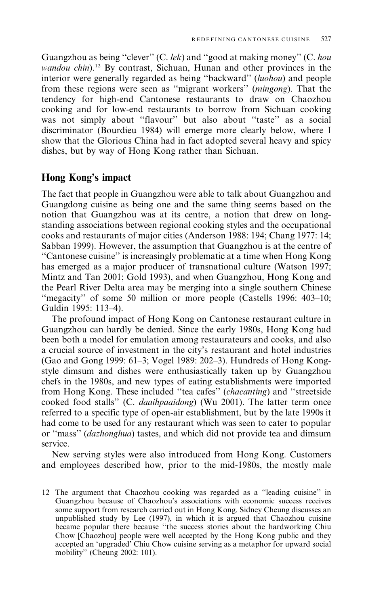Guangzhou as being "clever" (C. lek) and "good at making money" (C. hou wandou chin).<sup>12</sup> By contrast, Sichuan, Hunan and other provinces in the interior were generally regarded as being "backward" (luohou) and people from these regions were seen as "migrant workers" (mingong). That the tendency for high-end Cantonese restaurants to draw on Chaozhou cooking and for low-end restaurants to borrow from Sichuan cooking was not simply about "flavour" but also about "taste" as a social discriminator (Bourdieu 1984) will emerge more clearly below, where I show that the Glorious China had in fact adopted several heavy and spicy dishes, but by way of Hong Kong rather than Sichuan.

### Hong Kong's impact

The fact that people in Guangzhou were able to talk about Guangzhou and Guangdong cuisine as being one and the same thing seems based on the notion that Guangzhou was at its centre, a notion that drew on longstanding associations between regional cooking styles and the occupational cooks and restaurants of major cities (Anderson 1988: 194; Chang 1977: 14; Sabban 1999). However, the assumption that Guangzhou is at the centre of "Cantonese cuisine" is increasingly problematic at a time when Hong Kong has emerged as a major producer of transnational culture (Watson 1997; Mintz and Tan 2001; Gold 1993), and when Guangzhou, Hong Kong and the Pearl River Delta area may be merging into a single southern Chinese "megacity" of some 50 million or more people (Castells 1996: 403-10; Guldin 1995: 113-4).

The profound impact of Hong Kong on Cantonese restaurant culture in Guangzhou can hardly be denied. Since the early 1980s, Hong Kong had been both a model for emulation among restaurateurs and cooks, and also a crucial source of investment in the city's restaurant and hotel industries (Gao and Gong 1999: 61-3; Vogel 1989: 202-3). Hundreds of Hong Kongstyle dimsum and dishes were enthusiastically taken up by Guangzhou chefs in the 1980s, and new types of eating establishments were imported from Hong Kong. These included "tea cafes" (chacanting) and "streetside cooked food stalls" (C. daaihpaaidong) (Wu 2001). The latter term once referred to a specific type of open-air establishment, but by the late 1990s it had come to be used for any restaurant which was seen to cater to popular or "mass" (dazhonghua) tastes, and which did not provide tea and dimsum service.

New serving styles were also introduced from Hong Kong. Customers and employees described how, prior to the mid-1980s, the mostly male

<sup>12</sup> The argument that Chaozhou cooking was regarded as a "leading cuisine" in Guangzhou because of Chaozhou's associations with economic success receives some support from research carried out in Hong Kong. Sidney Cheung discusses an unpublished study by Lee (1997), in which it is argued that Chaozhou cuisine became popular there because "the success stories about the hardworking Chiu Chow [Chaozhou] people were well accepted by the Hong Kong public and they accepted an 'upgraded' Chiu Chow cuisine serving as a metaphor for upward social mobility" (Cheung 2002: 101).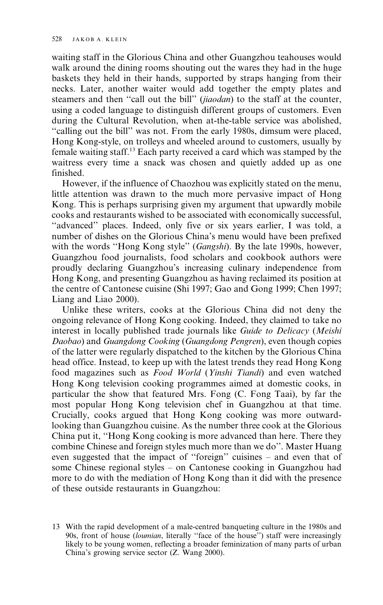waiting staff in the Glorious China and other Guangzhou teahouses would walk around the dining rooms shouting out the wares they had in the huge baskets they held in their hands, supported by straps hanging from their necks. Later, another waiter would add together the empty plates and steamers and then "call out the bill" (jiaodan) to the staff at the counter, using a coded language to distinguish different groups of customers. Even during the Cultural Revolution, when at-the-table service was abolished, "calling out the bill" was not. From the early 1980s, dimsum were placed, Hong Kong-style, on trolleys and wheeled around to customers, usually by female waiting staff.<sup>13</sup> Each party received a card which was stamped by the waitress every time a snack was chosen and quietly added up as one finished.

However, if the influence of Chaozhou was explicitly stated on the menu, little attention was drawn to the much more pervasive impact of Hong Kong. This is perhaps surprising given my argument that upwardly mobile cooks and restaurants wished to be associated with economically successful, "advanced" places. Indeed, only five or six years earlier, I was told, a number of dishes on the Glorious China's menu would have been prefixed with the words "Hong Kong style" (Gangshi). By the late 1990s, however, Guangzhou food journalists, food scholars and cookbook authors were proudly declaring Guangzhou's increasing culinary independence from Hong Kong, and presenting Guangzhou as having reclaimed its position at the centre of Cantonese cuisine (Shi 1997; Gao and Gong 1999; Chen 1997; Liang and Liao 2000).

Unlike these writers, cooks at the Glorious China did not deny the ongoing relevance of Hong Kong cooking. Indeed, they claimed to take no interest in locally published trade journals like Guide to Delicacy (Meishi Daobao) and Guangdong Cooking (Guangdong Pengren), even though copies of the latter were regularly dispatched to the kitchen by the Glorious China head office. Instead, to keep up with the latest trends they read Hong Kong food magazines such as *Food World* (Yinshi Tiandi) and even watched Hong Kong television cooking programmes aimed at domestic cooks, in particular the show that featured Mrs. Fong (C. Fong Taai), by far the most popular Hong Kong television chef in Guangzhou at that time. Crucially, cooks argued that Hong Kong cooking was more outwardlooking than Guangzhou cuisine. As the number three cook at the Glorious China put it, "Hong Kong cooking is more advanced than here. There they combine Chinese and foreign styles much more than we do". Master Huang even suggested that the impact of "foreign" cuisines - and even that of some Chinese regional styles – on Cantonese cooking in Guangzhou had more to do with the mediation of Hong Kong than it did with the presence of these outside restaurants in Guangzhou:

<sup>13</sup> With the rapid development of a male-centred banqueting culture in the 1980s and 90s, front of house (loumian, literally "face of the house") staff were increasingly likely to be young women, reflecting a broader feminization of many parts of urban China's growing service sector (Z. Wang 2000).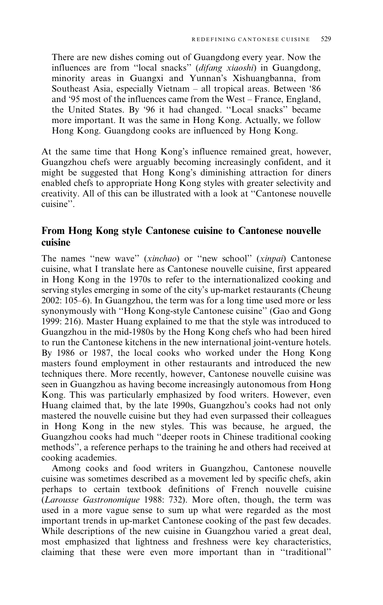There are new dishes coming out of Guangdong every year. Now the influences are from "local snacks" (difang xiaoshi) in Guangdong, minority areas in Guangxi and Yunnan's Xishuangbanna, from Southeast Asia, especially Vietnam - all tropical areas. Between '86 and '95 most of the influences came from the West – France, England, the United States. By '96 it had changed. "Local snacks" became more important. It was the same in Hong Kong. Actually, we follow Hong Kong. Guangdong cooks are influenced by Hong Kong.

At the same time that Hong Kong's influence remained great, however, Guangzhou chefs were arguably becoming increasingly confident, and it might be suggested that Hong Kong's diminishing attraction for diners enabled chefs to appropriate Hong Kong styles with greater selectivity and creativity. All of this can be illustrated with a look at "Cantonese nouvelle cuisine".

## From Hong Kong style Cantonese cuisine to Cantonese nouvelle cuisine

The names "new wave" (xinchao) or "new school" (xinpai) Cantonese cuisine, what I translate here as Cantonese nouvelle cuisine, first appeared in Hong Kong in the 1970s to refer to the internationalized cooking and serving styles emerging in some of the city's up-market restaurants (Cheung 2002: 105–6). In Guangzhou, the term was for a long time used more or less synonymously with "Hong Kong-style Cantonese cuisine" (Gao and Gong 1999: 216). Master Huang explained to me that the style was introduced to Guangzhou in the mid-1980s by the Hong Kong chefs who had been hired to run the Cantonese kitchens in the new international joint-venture hotels. By 1986 or 1987, the local cooks who worked under the Hong Kong masters found employment in other restaurants and introduced the new techniques there. More recently, however, Cantonese nouvelle cuisine was seen in Guangzhou as having become increasingly autonomous from Hong Kong. This was particularly emphasized by food writers. However, even Huang claimed that, by the late 1990s, Guangzhou's cooks had not only mastered the nouvelle cuisine but they had even surpassed their colleagues in Hong Kong in the new styles. This was because, he argued, the Guangzhou cooks had much "deeper roots in Chinese traditional cooking methods", a reference perhaps to the training he and others had received at cooking academies.

Among cooks and food writers in Guangzhou, Cantonese nouvelle cuisine was sometimes described as a movement led by specific chefs, akin perhaps to certain textbook definitions of French nouvelle cuisine (Larousse Gastronomique 1988: 732). More often, though, the term was used in a more vague sense to sum up what were regarded as the most important trends in up-market Cantonese cooking of the past few decades. While descriptions of the new cuisine in Guangzhou varied a great deal, most emphasized that lightness and freshness were key characteristics, claiming that these were even more important than in "traditional"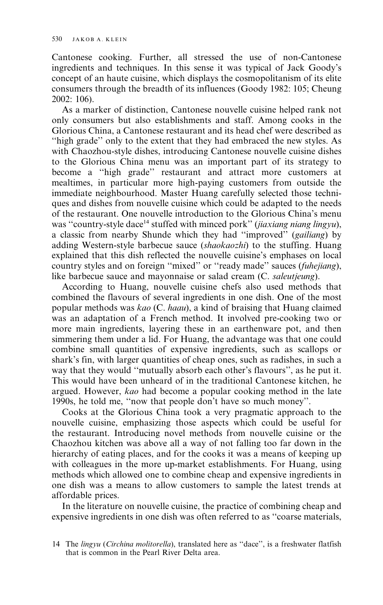Cantonese cooking. Further, all stressed the use of non-Cantonese ingredients and techniques. In this sense it was typical of Jack Goody's concept of an haute cuisine, which displays the cosmopolitanism of its elite consumers through the breadth of its influences (Goody 1982: 105; Cheung  $2002:106$ .

As a marker of distinction, Cantonese nouvelle cuisine helped rank not only consumers but also establishments and staff. Among cooks in the Glorious China, a Cantonese restaurant and its head chef were described as "high grade" only to the extent that they had embraced the new styles. As with Chaozhou-style dishes, introducing Cantonese nouvelle cuisine dishes to the Glorious China menu was an important part of its strategy to become a "high grade" restaurant and attract more customers at mealtimes, in particular more high-paying customers from outside the immediate neighbourhood. Master Huang carefully selected those techniques and dishes from nouvelle cuisine which could be adapted to the needs of the restaurant. One nouvelle introduction to the Glorious China's menu was "country-style dace<sup>14</sup> stuffed with minced pork" (jiaxiang niang lingyu), a classic from nearby Shunde which they had "improved" (gailiang) by adding Western-style barbecue sauce (shaokaozhi) to the stuffing. Huang explained that this dish reflected the nouvelle cuisine's emphases on local country styles and on foreign "mixed" or "ready made" sauces (fuhejiang), like barbecue sauce and mayonnaise or salad cream (C. saleutjeung).

According to Huang, nouvelle cuisine chefs also used methods that combined the flavours of several ingredients in one dish. One of the most popular methods was kao (C. haau), a kind of braising that Huang claimed was an adaptation of a French method. It involved pre-cooking two or more main ingredients, layering these in an earthenware pot, and then simmering them under a lid. For Huang, the advantage was that one could combine small quantities of expensive ingredients, such as scallops or shark's fin, with larger quantities of cheap ones, such as radishes, in such a way that they would "mutually absorb each other's flavours", as he put it. This would have been unheard of in the traditional Cantonese kitchen, he argued. However, kao had become a popular cooking method in the late 1990s, he told me, "now that people don't have so much money".

Cooks at the Glorious China took a very pragmatic approach to the nouvelle cuisine, emphasizing those aspects which could be useful for the restaurant. Introducing novel methods from nouvelle cuisine or the Chaozhou kitchen was above all a way of not falling too far down in the hierarchy of eating places, and for the cooks it was a means of keeping up with colleagues in the more up-market establishments. For Huang, using methods which allowed one to combine cheap and expensive ingredients in one dish was a means to allow customers to sample the latest trends at affordable prices.

In the literature on nouvelle cuisine, the practice of combining cheap and expensive ingredients in one dish was often referred to as "coarse materials,

<sup>14</sup> The lingyu (Circhina molitorella), translated here as "dace", is a freshwater flatfish that is common in the Pearl River Delta area.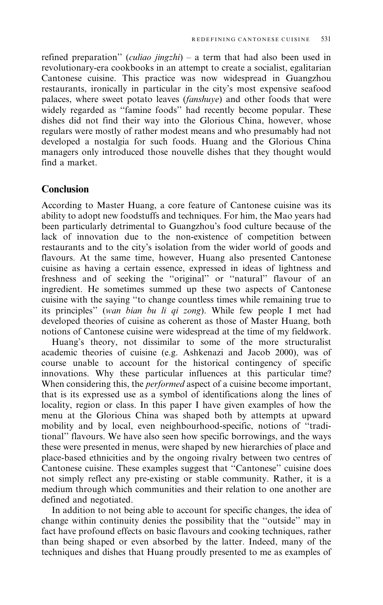refined preparation" (culiao jingzhi) – a term that had also been used in revolutionary-era cookbooks in an attempt to create a socialist, egalitarian Cantonese cuisine. This practice was now widespread in Guangzhou restaurants, ironically in particular in the city's most expensive seafood palaces, where sweet potato leaves (fanshuye) and other foods that were widely regarded as "famine foods" had recently become popular. These dishes did not find their way into the Glorious China, however, whose regulars were mostly of rather modest means and who presumably had not developed a nostalgia for such foods. Huang and the Glorious China managers only introduced those nouvelle dishes that they thought would find a market

## **Conclusion**

According to Master Huang, a core feature of Cantonese cuisine was its ability to adopt new foodstuffs and techniques. For him, the Mao years had been particularly detrimental to Guangzhou's food culture because of the lack of innovation due to the non-existence of competition between restaurants and to the city's isolation from the wider world of goods and flavours. At the same time, however, Huang also presented Cantonese cuisine as having a certain essence, expressed in ideas of lightness and freshness and of seeking the "original" or "natural" flavour of an ingredient. He sometimes summed up these two aspects of Cantonese cuisine with the saying "to change countless times while remaining true to its principles" (wan bian bu li qi zong). While few people I met had developed theories of cuisine as coherent as those of Master Huang, both notions of Cantonese cuisine were widespread at the time of my fieldwork.

Huang's theory, not dissimilar to some of the more structuralist academic theories of cuisine (e.g. Ashkenazi and Jacob 2000), was of course unable to account for the historical contingency of specific innovations. Why these particular influences at this particular time? When considering this, the *performed* aspect of a cuisine become important, that is its expressed use as a symbol of identifications along the lines of locality, region or class. In this paper I have given examples of how the menu at the Glorious China was shaped both by attempts at upward mobility and by local, even neighbourhood-specific, notions of "traditional" flavours. We have also seen how specific borrowings, and the ways these were presented in menus, were shaped by new hierarchies of place and place-based ethnicities and by the ongoing rivalry between two centres of Cantonese cuisine. These examples suggest that "Cantonese" cuisine does not simply reflect any pre-existing or stable community. Rather, it is a medium through which communities and their relation to one another are defined and negotiated.

In addition to not being able to account for specific changes, the idea of change within continuity denies the possibility that the "outside" may in fact have profound effects on basic flavours and cooking techniques, rather than being shaped or even absorbed by the latter. Indeed, many of the techniques and dishes that Huang proudly presented to me as examples of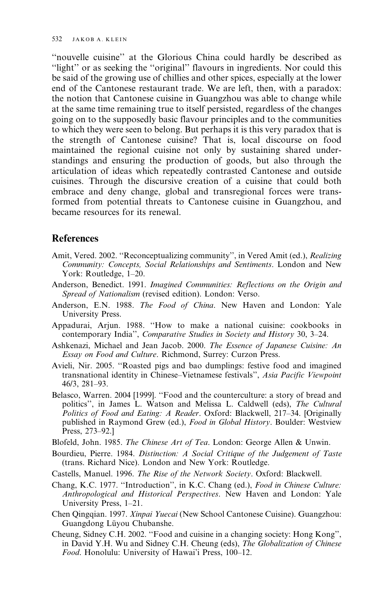"nouvelle cuisine" at the Glorious China could hardly be described as "light" or as seeking the "original" flavours in ingredients. Nor could this be said of the growing use of chillies and other spices, especially at the lower end of the Cantonese restaurant trade. We are left, then, with a paradox: the notion that Cantonese cuisine in Guangzhou was able to change while at the same time remaining true to itself persisted, regardless of the changes going on to the supposedly basic flavour principles and to the communities to which they were seen to belong. But perhaps it is this very paradox that is the strength of Cantonese cuisine? That is, local discourse on food maintained the regional cuisine not only by sustaining shared understandings and ensuring the production of goods, but also through the articulation of ideas which repeatedly contrasted Cantonese and outside cuisines. Through the discursive creation of a cuisine that could both embrace and deny change, global and transregional forces were transformed from potential threats to Cantonese cuisine in Guangzhou, and became resources for its renewal

## **References**

- Amit, Vered. 2002. "Reconceptualizing community", in Vered Amit (ed.), Realizing Community: Concepts, Social Relationships and Sentiments. London and New York: Routledge, 1-20.
- Anderson, Benedict. 1991. Imagined Communities: Reflections on the Origin and Spread of Nationalism (revised edition). London: Verso.
- Anderson, E.N. 1988. The Food of China. New Haven and London: Yale University Press.
- Appadurai, Arjun. 1988. "How to make a national cuisine: cookbooks in contemporary India", Comparative Studies in Society and History 30, 3-24.
- Ashkenazi, Michael and Jean Jacob. 2000. The Essence of Japanese Cuisine: An Essay on Food and Culture. Richmond, Surrey: Curzon Press.
- Avieli, Nir. 2005. "Roasted pigs and bao dumplings: festive food and imagined transnational identity in Chinese-Vietnamese festivals", Asia Pacific Viewpoint  $46/3$ ,  $281-93$ .
- Belasco, Warren. 2004 [1999]. "Food and the counterculture: a story of bread and politics", in James L. Watson and Melissa L. Caldwell (eds), The Cultural Politics of Food and Eating: A Reader. Oxford: Blackwell, 217-34. [Originally published in Raymond Grew (ed.), Food in Global History. Boulder: Westview Press, 273–92.1
- Blofeld, John. 1985. The Chinese Art of Tea. London: George Allen & Unwin.
- Bourdieu, Pierre. 1984. Distinction: A Social Critique of the Judgement of Taste (trans. Richard Nice). London and New York: Routledge.
- Castells, Manuel. 1996. The Rise of the Network Society. Oxford: Blackwell.
- Chang, K.C. 1977. "Introduction", in K.C. Chang (ed.), Food in Chinese Culture: Anthropological and Historical Perspectives. New Haven and London: Yale University Press, 1-21.
- Chen Qingqian. 1997. Xinpai Yuecai (New School Cantonese Cuisine). Guangzhou: Guangdong Lüyou Chubanshe.
- Cheung, Sidney C.H. 2002. "Food and cuisine in a changing society: Hong Kong", in David Y.H. Wu and Sidney C.H. Cheung (eds), The Globalization of Chinese Food. Honolulu: University of Hawai'i Press, 100-12.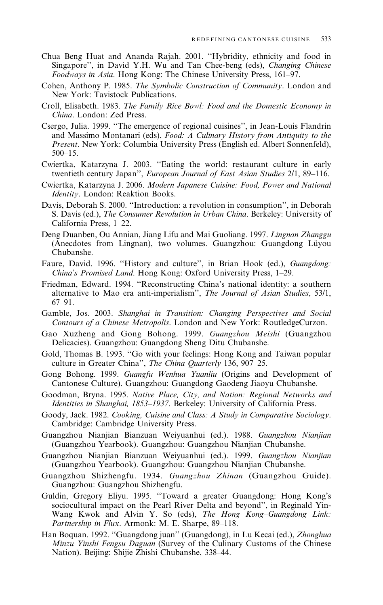- Chua Beng Huat and Ananda Rajah. 2001. "Hybridity, ethnicity and food in Singapore", in David Y.H. Wu and Tan Chee-beng (eds), Changing Chinese Foodways in Asia. Hong Kong: The Chinese University Press, 161-97.
- Cohen, Anthony P. 1985. The Symbolic Construction of Community. London and New York: Tavistock Publications.
- Croll, Elisabeth. 1983. The Family Rice Bowl: Food and the Domestic Economy in China. London: Zed Press.
- Csergo, Julia. 1999. "The emergence of regional cuisines", in Jean-Louis Flandrin and Massimo Montanari (eds), Food: A Culinary History from Antiquity to the Present. New York: Columbia University Press (English ed. Albert Sonnenfeld),  $500 - 15$ .
- Cwiertka, Katarzyna J. 2003. "Eating the world: restaurant culture in early twentieth century Japan", European Journal of East Asian Studies 2/1, 89-116.
- Cwiertka, Katarzyna J. 2006. Modern Japanese Cuisine: Food, Power and National Identity. London: Reaktion Books.
- Davis, Deborah S. 2000. "Introduction: a revolution in consumption", in Deborah S. Davis (ed.), The Consumer Revolution in Urban China. Berkeley: University of California Press, 1-22.
- Deng Duanben, Ou Annian, Jiang Lifu and Mai Guoliang. 1997. Lingnan Zhanggu (Anecdotes from Lingnan), two volumes. Guangzhou: Guangdong Lüyou Chubanshe.
- Faure, David. 1996. "History and culture", in Brian Hook (ed.), Guangdong: China's Promised Land. Hong Kong: Oxford University Press, 1-29.
- Friedman, Edward. 1994. "Reconstructing China's national identity: a southern alternative to Mao era anti-imperialism", The Journal of Asian Studies, 53/1,  $67 - 91$ .
- Gamble, Jos. 2003. Shanghai in Transition: Changing Perspectives and Social Contours of a Chinese Metropolis. London and New York: RoutledgeCurzon.
- Gao Xuzheng and Gong Bohong. 1999. Guangzhou Meishi (Guangzhou Delicacies). Guangzhou: Guangdong Sheng Ditu Chubanshe.
- Gold, Thomas B. 1993. "Go with your feelings: Hong Kong and Taiwan popular culture in Greater China", The China Quarterly 136, 907-25.
- Gong Bohong, 1999. Guangfu Wenhua Yuanliu (Origins and Development of Cantonese Culture). Guangzhou: Guangdong Gaodeng Jiaoyu Chubanshe.
- Goodman, Bryna. 1995. Native Place, City, and Nation: Regional Networks and Identities in Shanghai, 1853-1937. Berkeley: University of California Press.
- Goody, Jack. 1982. Cooking, Cuisine and Class: A Study in Comparative Sociology. Cambridge: Cambridge University Press.
- Guangzhou Nianjian Bianzuan Weiyuanhui (ed.). 1988. Guangzhou Nianjian (Guangzhou Yearbook). Guangzhou: Guangzhou Nianjian Chubanshe.
- Guangzhou Nianjian Bianzuan Weiyuanhui (ed.). 1999. Guangzhou Nianjian (Guangzhou Yearbook). Guangzhou: Guangzhou Nianjian Chubanshe.
- Guangzhou Shizhengfu. 1934. Guangzhou Zhinan (Guangzhou Guide). Guangzhou: Guangzhou Shizhengfu.
- Guldin, Gregory Eliyu. 1995. "Toward a greater Guangdong: Hong Kong's sociocultural impact on the Pearl River Delta and beyond", in Reginald Yin-Wang Kwok and Alvin Y. So (eds), The Hong Kong-Guangdong Link: Partnership in Flux. Armonk: M. E. Sharpe, 89-118.
- Han Boquan. 1992. "Guangdong juan" (Guangdong), in Lu Kecai (ed.), Zhonghua Minzu Yinshi Fengsu Daguan (Survey of the Culinary Customs of the Chinese Nation). Beijing: Shijie Zhishi Chubanshe, 338-44.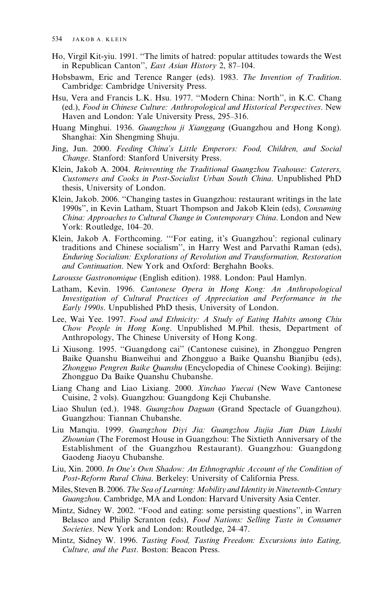- Ho, Virgil Kit-yiu. 1991. "The limits of hatred: popular attitudes towards the West in Republican Canton", East Asian History 2, 87-104.
- Hobsbawm, Eric and Terence Ranger (eds). 1983. The Invention of Tradition. Cambridge: Cambridge University Press.
- Hsu, Vera and Francis L.K. Hsu. 1977. "Modern China: North", in K.C. Chang (ed.), Food in Chinese Culture: Anthropological and Historical Perspectives. New Haven and London: Yale University Press, 295-316.
- Huang Minghui. 1936. Guangzhou ji Xianggang (Guangzhou and Hong Kong). Shanghai: Xin Shengming Shuju.
- Jing, Jun. 2000. Feeding China's Little Emperors: Food, Children, and Social Change. Stanford: Stanford University Press.
- Klein, Jakob A. 2004. Reinventing the Traditional Guangzhou Teahouse: Caterers, Customers and Cooks in Post-Socialist Urban South China. Unpublished PhD thesis, University of London.
- Klein, Jakob. 2006. "Changing tastes in Guangzhou: restaurant writings in the late 1990s", in Kevin Latham, Stuart Thompson and Jakob Klein (eds), Consuming China: Approaches to Cultural Change in Contemporary China. London and New York: Routledge, 104–20.
- Klein, Jakob A. Forthcoming. "'For eating, it's Guangzhou': regional culinary traditions and Chinese socialism", in Harry West and Parvathi Raman (eds), Enduring Socialism: Explorations of Revolution and Transformation, Restoration and Continuation. New York and Oxford: Berghahn Books.
- Larousse Gastronomique (English edition). 1988. London: Paul Hamlyn.
- Latham, Kevin. 1996. Cantonese Opera in Hong Kong: An Anthropological Investigation of Cultural Practices of Appreciation and Performance in the Early 1990s. Unpublished PhD thesis, University of London.
- Lee, Wai Yee. 1997. Food and Ethnicity: A Study of Eating Habits among Chiu Chow People in Hong Kong. Unpublished M.Phil. thesis, Department of Anthropology, The Chinese University of Hong Kong.
- Li Xiusong. 1995. "Guangdong cai" (Cantonese cuisine), in Zhongguo Pengren Baike Quanshu Bianweihui and Zhongguo a Baike Quanshu Bianjibu (eds), Zhongguo Pengren Baike Quanshu (Encyclopedia of Chinese Cooking). Beijing: Zhongguo Da Baike Quanshu Chubanshe.
- Liang Chang and Liao Lixiang. 2000. Xinchao Yuecai (New Wave Cantonese Cuisine, 2 vols). Guangzhou: Guangdong Keji Chubanshe.
- Liao Shulun (ed.). 1948. Guangzhou Daguan (Grand Spectacle of Guangzhou). Guangzhou: Tiannan Chubanshe.
- Liu Manqiu. 1999. Guangzhou Diyi Jia: Guangzhou Jiujia Jian Dian Liushi Zhounian (The Foremost House in Guangzhou: The Sixtieth Anniversary of the Establishment of the Guangzhou Restaurant). Guangzhou: Guangdong Gaodeng Jiaoyu Chubanshe.
- Liu, Xin. 2000. In One's Own Shadow: An Ethnographic Account of the Condition of Post-Reform Rural China. Berkeley: University of California Press.
- Miles, Steven B. 2006. The Sea of Learning: Mobility and Identity in Nineteenth-Century Guangzhou. Cambridge, MA and London: Harvard University Asia Center.
- Mintz, Sidney W. 2002. "Food and eating: some persisting questions", in Warren Belasco and Philip Scranton (eds), Food Nations: Selling Taste in Consumer Societies. New York and London: Routledge, 24-47.
- Mintz, Sidney W. 1996. Tasting Food, Tasting Freedom: Excursions into Eating, Culture, and the Past. Boston: Beacon Press.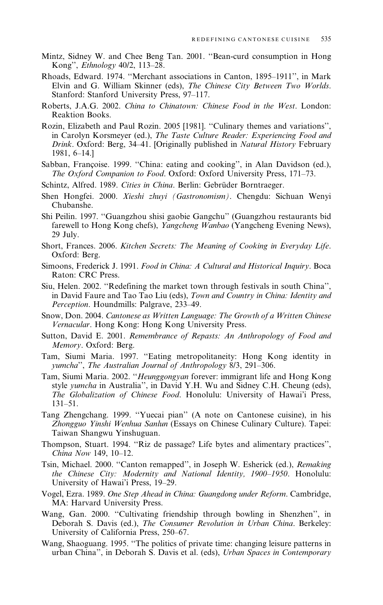- Mintz, Sidney W. and Chee Beng Tan. 2001. "Bean-curd consumption in Hong Kong", *Ethnology* 40/2, 113-28.
- Rhoads, Edward. 1974. "Merchant associations in Canton, 1895-1911", in Mark Elvin and G. William Skinner (eds), The Chinese City Between Two Worlds. Stanford: Stanford University Press, 97-117.
- Roberts, J.A.G. 2002. China to Chinatown: Chinese Food in the West. London: Reaktion Books.
- Rozin, Elizabeth and Paul Rozin. 2005 [1981]. "Culinary themes and variations". in Carolyn Korsmeyer (ed.), The Taste Culture Reader: Experiencing Food and Drink. Oxford: Berg, 34-41. [Originally published in Natural History February  $1981, 6-14.1$
- Sabban, Françoise. 1999. "China: eating and cooking", in Alan Davidson (ed.), The Oxford Companion to Food. Oxford: Oxford University Press, 171–73.
- Schintz, Alfred. 1989. Cities in China. Berlin: Gebrüder Borntraeger.
- Shen Hongfei. 2000. *Xieshi zhuvi (Gastronomism)*. Chengdu: Sichuan Wenyi Chubanshe.
- Shi Peilin. 1997. "Guangzhou shisi gaobie Gangchu" (Guangzhou restaurants bid farewell to Hong Kong chefs), Yangcheng Wanbao (Yangcheng Evening News), 29 July.
- Short, Frances. 2006. Kitchen Secrets: The Meaning of Cooking in Everyday Life. Oxford: Berg.
- Simoons, Frederick J. 1991. Food in China: A Cultural and Historical Inquiry. Boca Raton: CRC Press.
- Siu, Helen. 2002. "Redefining the market town through festivals in south China", in David Faure and Tao Tao Liu (eds), Town and Country in China: Identity and Perception. Houndmills: Palgrave, 233-49.
- Snow, Don. 2004. Cantonese as Written Language: The Growth of a Written Chinese Vernacular. Hong Kong: Hong Kong University Press.
- Sutton, David E. 2001. Remembrance of Repasts: An Anthropology of Food and Memory. Oxford: Berg.
- Tam, Siumi Maria. 1997. "Eating metropolitaneity: Hong Kong identity in vumcha", The Australian Journal of Anthropology 8/3, 291-306.
- Tam, Siumi Maria. 2002. "Heunggongyan forever: immigrant life and Hong Kong style yumcha in Australia", in David Y.H. Wu and Sidney C.H. Cheung (eds), The Globalization of Chinese Food. Honolulu: University of Hawai'i Press,  $131 - 51$ .
- Tang Zhengchang. 1999. "Yuecai pian" (A note on Cantonese cuisine), in his Zhongguo Yinshi Wenhua Sanlun (Essays on Chinese Culinary Culture). Tapei: Taiwan Shangwu Yinshuguan.
- Thompson, Stuart. 1994. "Riz de passage? Life bytes and alimentary practices", China Now 149, 10-12.
- Tsin, Michael. 2000. "Canton remapped", in Joseph W. Esherick (ed.), Remaking the Chinese City: Modernity and National Identity, 1900-1950. Honolulu: University of Hawai'i Press, 19-29.
- Vogel, Ezra. 1989. One Step Ahead in China: Guangdong under Reform. Cambridge, MA: Harvard University Press.
- Wang, Gan. 2000. "Cultivating friendship through bowling in Shenzhen", in Deborah S. Davis (ed.), The Consumer Revolution in Urban China. Berkeley: University of California Press, 250–67.
- Wang, Shaoguang. 1995. "The politics of private time: changing leisure patterns in urban China", in Deborah S. Davis et al. (eds), Urban Spaces in Contemporary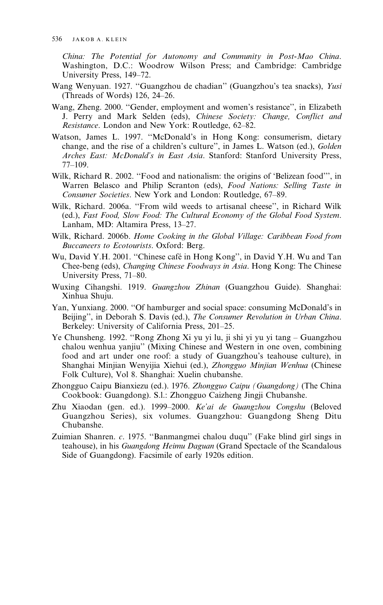China: The Potential for Autonomy and Community in Post-Mao China. Washington, D.C.: Woodrow Wilson Press; and Cambridge: Cambridge University Press, 149-72.

- Wang Wenyuan. 1927. "Guangzhou de chadian" (Guangzhou's tea snacks), Yusi (Threads of Words) 126, 24-26.
- Wang, Zheng. 2000. "Gender, employment and women's resistance", in Elizabeth J. Perry and Mark Selden (eds), Chinese Society: Change, Conflict and Resistance. London and New York: Routledge, 62-82.
- Watson, James L. 1997. "McDonald's in Hong Kong: consumerism, dietary change, and the rise of a children's culture", in James L. Watson (ed.), Golden Arches East: McDonald's in East Asia. Stanford: Stanford University Press,  $77 - 109.$
- Wilk, Richard R. 2002. "Food and nationalism: the origins of 'Belizean food'", in Warren Belasco and Philip Scranton (eds), Food Nations: Selling Taste in Consumer Societies. New York and London: Routledge, 67-89.
- Wilk, Richard. 2006a. "From wild weeds to artisanal cheese", in Richard Wilk (ed.), Fast Food, Slow Food: The Cultural Economy of the Global Food System. Lanham, MD: Altamira Press, 13-27.
- Wilk, Richard. 2006b. Home Cooking in the Global Village: Caribbean Food from Buccaneers to Ecotourists. Oxford: Berg.
- Wu, David Y.H. 2001. "Chinese café in Hong Kong", in David Y.H. Wu and Tan Chee-beng (eds), *Changing Chinese Foodways in Asia*. Hong Kong: The Chinese University Press, 71-80.
- Wuxing Cihangshi. 1919. Guangzhou Zhinan (Guangzhou Guide). Shanghai: Xinhua Shuju.
- Yan, Yunxiang. 2000. "Of hamburger and social space: consuming McDonald's in Beijing", in Deborah S. Davis (ed.), The Consumer Revolution in Urban China. Berkeley: University of California Press, 201-25.
- Ye Chunsheng, 1992. "Rong Zhong Xi yu yi lu, ji shi yi yu yi tang Guangzhou chalou wenhua yanjiu" (Mixing Chinese and Western in one oven, combining food and art under one roof: a study of Guangzhou's teahouse culture), in Shanghai Minjian Wenyijia Xiehui (ed.), Zhongguo Minjian Wenhua (Chinese Folk Culture), Vol 8. Shanghai: Xuelin chubanshe.
- Zhongguo Caipu Bianxiezu (ed.). 1976. Zhongguo Caipu (Guangdong) (The China Cookbook: Guangdong). S.l.: Zhongguo Caizheng Jingji Chubanshe.
- Zhu Xiaodan (gen. ed.). 1999–2000. Ke'ai de Guangzhou Congshu (Beloved Guangzhou Series), six volumes. Guangzhou: Guangdong Sheng Ditu Chubanshe.
- Zuimian Shanren. c. 1975. "Banmangmei chalou duqu" (Fake blind girl sings in teahouse), in his Guangdong Heimu Daguan (Grand Spectacle of the Scandalous Side of Guangdong). Facsimile of early 1920s edition.